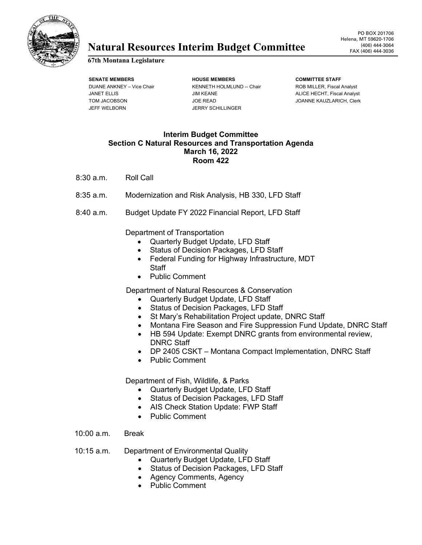

## **Natural Resources Interim Budget Committee** (406) 444-3064

## **67th Montana Legislature**

JEFF WELBORN JERRY SCHILLINGER

**SENATE MEMBERS HOUSE MEMBERS COMMITTEE STAFF** DUANE ANKNEY – Vice Chair **KENNETH HOLMLUND -- Chair** ROB MILLER, Fiscal Analyst JANET ELLIS **ALICE HECHT, Fiscal Analyst** JIM KEANE ALICE HECHT, Fiscal Analyst TOM JACOBSON JOE READ JOANNE KAUZLARICH, Clerk

## **Interim Budget Committee Section C Natural Resources and Transportation Agenda March 16, 2022 Room 422**

- 8:30 a.m. Roll Call
- 8:35 a.m. Modernization and Risk Analysis, HB 330, LFD Staff
- 8:40 a.m. Budget Update FY 2022 Financial Report, LFD Staff

Department of Transportation

- Quarterly Budget Update, LFD Staff
- Status of Decision Packages, LFD Staff
- Federal Funding for Highway Infrastructure, MDT **Staff**
- Public Comment

Department of Natural Resources & Conservation

- Quarterly Budget Update, LFD Staff
- Status of Decision Packages, LFD Staff
- St Mary's Rehabilitation Project update, DNRC Staff
- Montana Fire Season and Fire Suppression Fund Update, DNRC Staff
- HB 594 Update: Exempt DNRC grants from environmental review, DNRC Staff
- DP 2405 CSKT Montana Compact Implementation, DNRC Staff
- Public Comment

Department of Fish, Wildlife, & Parks

- Quarterly Budget Update, LFD Staff
- Status of Decision Packages, LFD Staff
- AIS Check Station Update: FWP Staff
- Public Comment
- 10:00 a.m. Break
- 10:15 a.m. Department of Environmental Quality
	- Quarterly Budget Update, LFD Staff
	- Status of Decision Packages, LFD Staff
	- Agency Comments, Agency
	- Public Comment